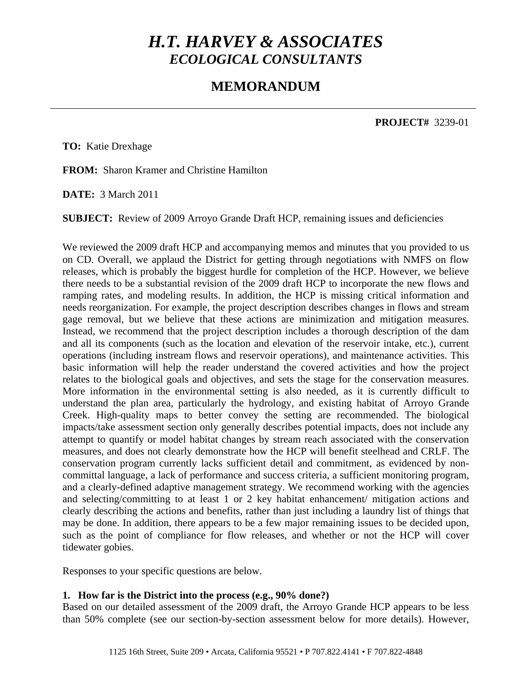# *H.T. HARVEY & ASSOCIATES ECOLOGICAL CONSULTANTS*

# **MEMORANDUM**

**PROJECT#** 3239-01

**TO:** Katie Drexhage

**FROM:** Sharon Kramer and Christine Hamilton

**DATE:** 3 March 2011

**SUBJECT:** Review of 2009 Arroyo Grande Draft HCP, remaining issues and deficiencies

We reviewed the 2009 draft HCP and accompanying memos and minutes that you provided to us on CD. Overall, we applaud the District for getting through negotiations with NMFS on flow releases, which is probably the biggest hurdle for completion of the HCP. However, we believe there needs to be a substantial revision of the 2009 draft HCP to incorporate the new flows and ramping rates, and modeling results. In addition, the HCP is missing critical information and needs reorganization. For example, the project description describes changes in flows and stream gage removal, but we believe that these actions are minimization and mitigation measures. Instead, we recommend that the project description includes a thorough description of the dam and all its components (such as the location and elevation of the reservoir intake, etc.), current operations (including instream flows and reservoir operations), and maintenance activities. This basic information will help the reader understand the covered activities and how the project relates to the biological goals and objectives, and sets the stage for the conservation measures. More information in the environmental setting is also needed, as it is currently difficult to understand the plan area, particularly the hydrology, and existing habitat of Arroyo Grande Creek. High-quality maps to better convey the setting are recommended. The biological impacts/take assessment section only generally describes potential impacts, does not include any attempt to quantify or model habitat changes by stream reach associated with the conservation measures, and does not clearly demonstrate how the HCP will benefit steelhead and CRLF. The conservation program currently lacks sufficient detail and commitment, as evidenced by noncommittal language, a lack of performance and success criteria, a sufficient monitoring program, and a clearly-defined adaptive management strategy. We recommend working with the agencies and selecting/committing to at least 1 or 2 key habitat enhancement/ mitigation actions and clearly describing the actions and benefits, rather than just including a laundry list of things that may be done. In addition, there appears to be a few major remaining issues to be decided upon, such as the point of compliance for flow releases, and whether or not the HCP will cover tidewater gobies.

Responses to your specific questions are below.

# **1. How far is the District into the process (e.g., 90% done?)**

Based on our detailed assessment of the 2009 draft, the Arroyo Grande HCP appears to be less than 50% complete (see our section-by-section assessment below for more details). However,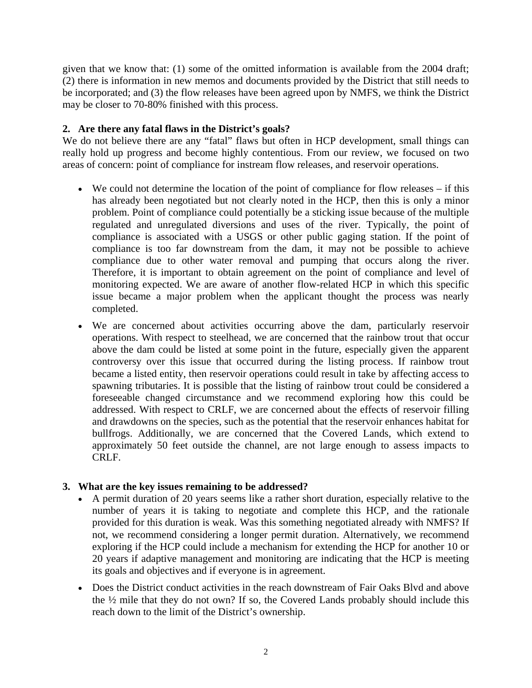given that we know that: (1) some of the omitted information is available from the 2004 draft; (2) there is information in new memos and documents provided by the District that still needs to be incorporated; and (3) the flow releases have been agreed upon by NMFS, we think the District may be closer to 70-80% finished with this process.

# **2. Are there any fatal flaws in the District's goals?**

We do not believe there are any "fatal" flaws but often in HCP development, small things can really hold up progress and become highly contentious. From our review, we focused on two areas of concern: point of compliance for instream flow releases, and reservoir operations.

- We could not determine the location of the point of compliance for flow releases if this has already been negotiated but not clearly noted in the HCP, then this is only a minor problem. Point of compliance could potentially be a sticking issue because of the multiple regulated and unregulated diversions and uses of the river. Typically, the point of compliance is associated with a USGS or other public gaging station. If the point of compliance is too far downstream from the dam, it may not be possible to achieve compliance due to other water removal and pumping that occurs along the river. Therefore, it is important to obtain agreement on the point of compliance and level of monitoring expected. We are aware of another flow-related HCP in which this specific issue became a major problem when the applicant thought the process was nearly completed.
- We are concerned about activities occurring above the dam, particularly reservoir operations. With respect to steelhead, we are concerned that the rainbow trout that occur above the dam could be listed at some point in the future, especially given the apparent controversy over this issue that occurred during the listing process. If rainbow trout became a listed entity, then reservoir operations could result in take by affecting access to spawning tributaries. It is possible that the listing of rainbow trout could be considered a foreseeable changed circumstance and we recommend exploring how this could be addressed. With respect to CRLF, we are concerned about the effects of reservoir filling and drawdowns on the species, such as the potential that the reservoir enhances habitat for bullfrogs. Additionally, we are concerned that the Covered Lands, which extend to approximately 50 feet outside the channel, are not large enough to assess impacts to CRLF.

# **3. What are the key issues remaining to be addressed?**

- A permit duration of 20 years seems like a rather short duration, especially relative to the number of years it is taking to negotiate and complete this HCP, and the rationale provided for this duration is weak. Was this something negotiated already with NMFS? If not, we recommend considering a longer permit duration. Alternatively, we recommend exploring if the HCP could include a mechanism for extending the HCP for another 10 or 20 years if adaptive management and monitoring are indicating that the HCP is meeting its goals and objectives and if everyone is in agreement.
- Does the District conduct activities in the reach downstream of Fair Oaks Blvd and above the ½ mile that they do not own? If so, the Covered Lands probably should include this reach down to the limit of the District's ownership.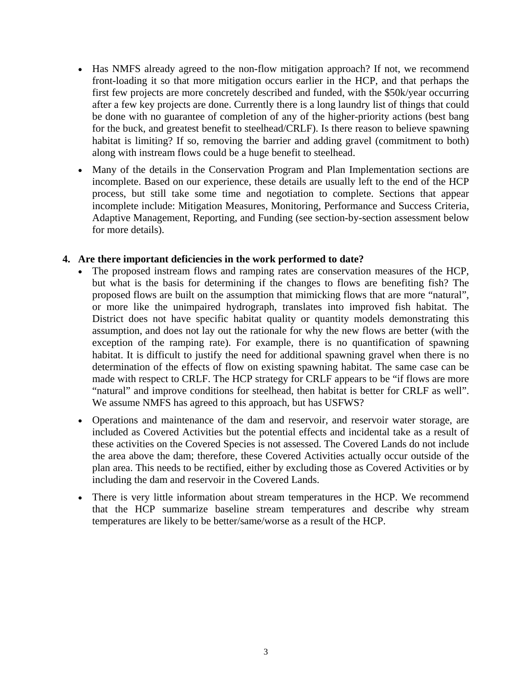- Has NMFS already agreed to the non-flow mitigation approach? If not, we recommend front-loading it so that more mitigation occurs earlier in the HCP, and that perhaps the first few projects are more concretely described and funded, with the \$50k/year occurring after a few key projects are done. Currently there is a long laundry list of things that could be done with no guarantee of completion of any of the higher-priority actions (best bang for the buck, and greatest benefit to steelhead/CRLF). Is there reason to believe spawning habitat is limiting? If so, removing the barrier and adding gravel (commitment to both) along with instream flows could be a huge benefit to steelhead.
- Many of the details in the Conservation Program and Plan Implementation sections are incomplete. Based on our experience, these details are usually left to the end of the HCP process, but still take some time and negotiation to complete. Sections that appear incomplete include: Mitigation Measures, Monitoring, Performance and Success Criteria, Adaptive Management, Reporting, and Funding (see section-by-section assessment below for more details).

# **4. Are there important deficiencies in the work performed to date?**

- The proposed instream flows and ramping rates are conservation measures of the HCP, but what is the basis for determining if the changes to flows are benefiting fish? The proposed flows are built on the assumption that mimicking flows that are more "natural", or more like the unimpaired hydrograph, translates into improved fish habitat. The District does not have specific habitat quality or quantity models demonstrating this assumption, and does not lay out the rationale for why the new flows are better (with the exception of the ramping rate). For example, there is no quantification of spawning habitat. It is difficult to justify the need for additional spawning gravel when there is no determination of the effects of flow on existing spawning habitat. The same case can be made with respect to CRLF. The HCP strategy for CRLF appears to be "if flows are more "natural" and improve conditions for steelhead, then habitat is better for CRLF as well". We assume NMFS has agreed to this approach, but has USFWS?
- Operations and maintenance of the dam and reservoir, and reservoir water storage, are included as Covered Activities but the potential effects and incidental take as a result of these activities on the Covered Species is not assessed. The Covered Lands do not include the area above the dam; therefore, these Covered Activities actually occur outside of the plan area. This needs to be rectified, either by excluding those as Covered Activities or by including the dam and reservoir in the Covered Lands.
- There is very little information about stream temperatures in the HCP. We recommend that the HCP summarize baseline stream temperatures and describe why stream temperatures are likely to be better/same/worse as a result of the HCP.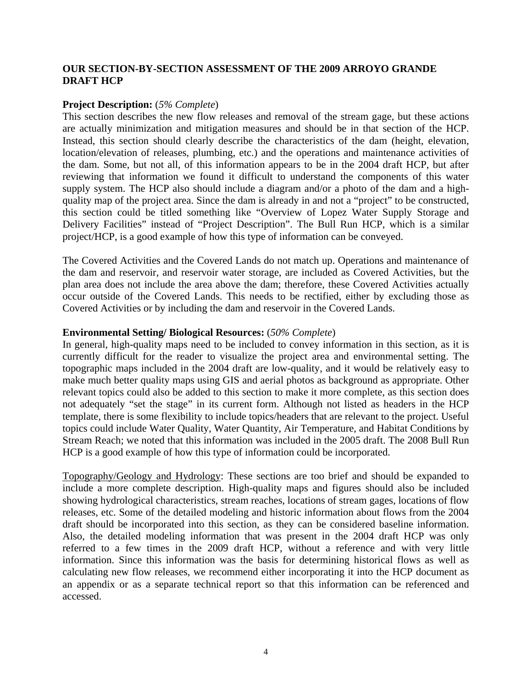# **OUR SECTION-BY-SECTION ASSESSMENT OF THE 2009 ARROYO GRANDE DRAFT HCP**

#### **Project Description:** (*5% Complete*)

This section describes the new flow releases and removal of the stream gage, but these actions are actually minimization and mitigation measures and should be in that section of the HCP. Instead, this section should clearly describe the characteristics of the dam (height, elevation, location/elevation of releases, plumbing, etc.) and the operations and maintenance activities of the dam. Some, but not all, of this information appears to be in the 2004 draft HCP, but after reviewing that information we found it difficult to understand the components of this water supply system. The HCP also should include a diagram and/or a photo of the dam and a highquality map of the project area. Since the dam is already in and not a "project" to be constructed, this section could be titled something like "Overview of Lopez Water Supply Storage and Delivery Facilities" instead of "Project Description". The Bull Run HCP, which is a similar project/HCP, is a good example of how this type of information can be conveyed.

The Covered Activities and the Covered Lands do not match up. Operations and maintenance of the dam and reservoir, and reservoir water storage, are included as Covered Activities, but the plan area does not include the area above the dam; therefore, these Covered Activities actually occur outside of the Covered Lands. This needs to be rectified, either by excluding those as Covered Activities or by including the dam and reservoir in the Covered Lands.

# **Environmental Setting/ Biological Resources:** (*50% Complete*)

In general, high-quality maps need to be included to convey information in this section, as it is currently difficult for the reader to visualize the project area and environmental setting. The topographic maps included in the 2004 draft are low-quality, and it would be relatively easy to make much better quality maps using GIS and aerial photos as background as appropriate. Other relevant topics could also be added to this section to make it more complete, as this section does not adequately "set the stage" in its current form. Although not listed as headers in the HCP template, there is some flexibility to include topics/headers that are relevant to the project. Useful topics could include Water Quality, Water Quantity, Air Temperature, and Habitat Conditions by Stream Reach; we noted that this information was included in the 2005 draft. The 2008 Bull Run HCP is a good example of how this type of information could be incorporated.

Topography/Geology and Hydrology: These sections are too brief and should be expanded to include a more complete description. High-quality maps and figures should also be included showing hydrological characteristics, stream reaches, locations of stream gages, locations of flow releases, etc. Some of the detailed modeling and historic information about flows from the 2004 draft should be incorporated into this section, as they can be considered baseline information. Also, the detailed modeling information that was present in the 2004 draft HCP was only referred to a few times in the 2009 draft HCP, without a reference and with very little information. Since this information was the basis for determining historical flows as well as calculating new flow releases, we recommend either incorporating it into the HCP document as an appendix or as a separate technical report so that this information can be referenced and accessed.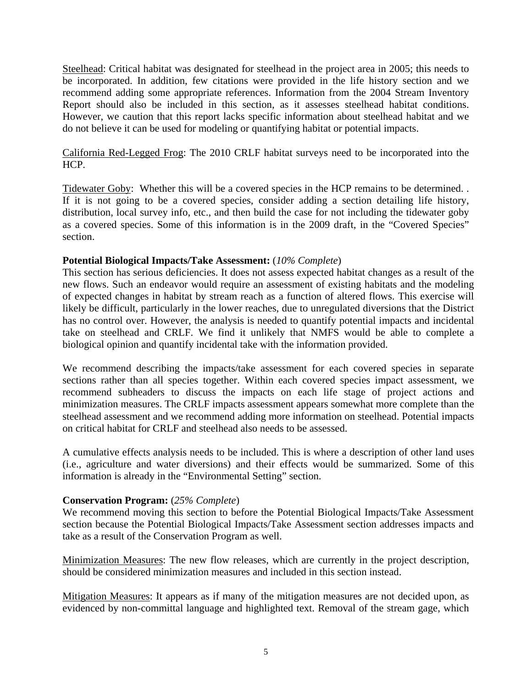Steelhead: Critical habitat was designated for steelhead in the project area in 2005; this needs to be incorporated. In addition, few citations were provided in the life history section and we recommend adding some appropriate references. Information from the 2004 Stream Inventory Report should also be included in this section, as it assesses steelhead habitat conditions. However, we caution that this report lacks specific information about steelhead habitat and we do not believe it can be used for modeling or quantifying habitat or potential impacts.

California Red-Legged Frog: The 2010 CRLF habitat surveys need to be incorporated into the HCP.

Tidewater Goby: Whether this will be a covered species in the HCP remains to be determined. . If it is not going to be a covered species, consider adding a section detailing life history, distribution, local survey info, etc., and then build the case for not including the tidewater goby as a covered species. Some of this information is in the 2009 draft, in the "Covered Species" section.

# **Potential Biological Impacts/Take Assessment:** (*10% Complete*)

This section has serious deficiencies. It does not assess expected habitat changes as a result of the new flows. Such an endeavor would require an assessment of existing habitats and the modeling of expected changes in habitat by stream reach as a function of altered flows. This exercise will likely be difficult, particularly in the lower reaches, due to unregulated diversions that the District has no control over. However, the analysis is needed to quantify potential impacts and incidental take on steelhead and CRLF. We find it unlikely that NMFS would be able to complete a biological opinion and quantify incidental take with the information provided.

We recommend describing the impacts/take assessment for each covered species in separate sections rather than all species together. Within each covered species impact assessment, we recommend subheaders to discuss the impacts on each life stage of project actions and minimization measures. The CRLF impacts assessment appears somewhat more complete than the steelhead assessment and we recommend adding more information on steelhead. Potential impacts on critical habitat for CRLF and steelhead also needs to be assessed.

A cumulative effects analysis needs to be included. This is where a description of other land uses (i.e., agriculture and water diversions) and their effects would be summarized. Some of this information is already in the "Environmental Setting" section.

# **Conservation Program:** (*25% Complete*)

We recommend moving this section to before the Potential Biological Impacts/Take Assessment section because the Potential Biological Impacts/Take Assessment section addresses impacts and take as a result of the Conservation Program as well.

Minimization Measures: The new flow releases, which are currently in the project description, should be considered minimization measures and included in this section instead.

Mitigation Measures: It appears as if many of the mitigation measures are not decided upon, as evidenced by non-committal language and highlighted text. Removal of the stream gage, which